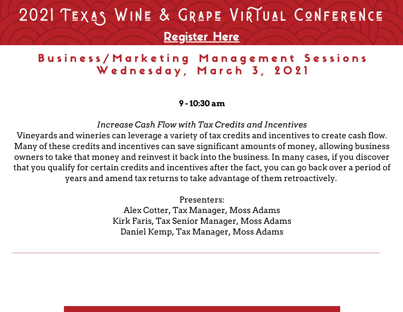#### Business/Marketing Management Sessions Wednesday, March 3, 2021

**9 - 10:30 am**

*Increase Cash Flow with Tax Credits and Incentives*

Vineyards and wineries can leverage a variety of tax credits and incentives to create cash flow. Many of these credits and incentives can save significant amounts of money, allowing business owners to take that money and reinvest it back into the business. In many cases, if you discover that you qualify for certain credits and incentives after the fact, you can go back over a period of years and amend tax returns to take advantage of them retroactively.

> Presenters: Alex Cotter, Tax Manager, Moss Adams Kirk Faris, Tax Senior Manager, Moss Adams Daniel Kemp, Tax Manager, Moss Adams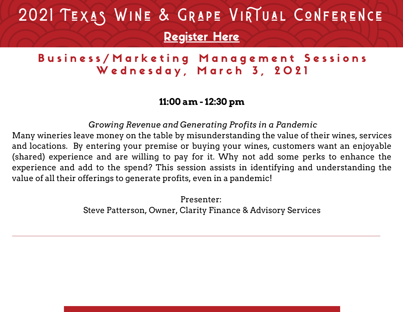#### Business/Marketing Management Sessions Wednesday, March 3, 2021

#### **11:00 am - 12:30 pm**

*Growing Revenue and Generating Profits in a Pandemic*

Many wineries leave money on the table by misunderstanding the value of their wines, services and locations. By entering your premise or buying your wines, customers want an enjoyable (shared) experience and are willing to pay for it. Why not add some perks to enhance the experience and add to the spend? This session assists in identifying and understanding the value of all their offerings to generate profits, even in a pandemic!

> Presenter: Steve Patterson, Owner, Clarity Finance & Advisory Services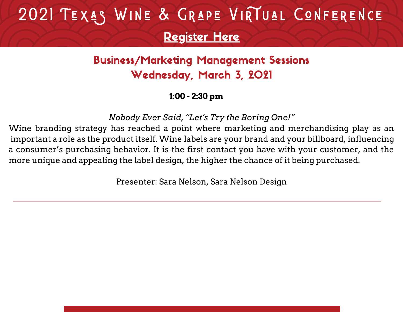### Business/Marketing Management Sessions Wednesday, March 3, 2021

#### **1:00 - 2:30 pm**

*Nobody Ever Said, "Let's Try the Boring One!"*

Wine branding strategy has reached a point where marketing and merchandising play as an important a role as the product itself. Wine labels are your brand and your billboard, influencing a consumer's purchasing behavior. It is the first contact you have with your customer, and the more unique and appealing the label design, the higher the chance of it being purchased.

Presenter: Sara Nelson, Sara Nelson Design